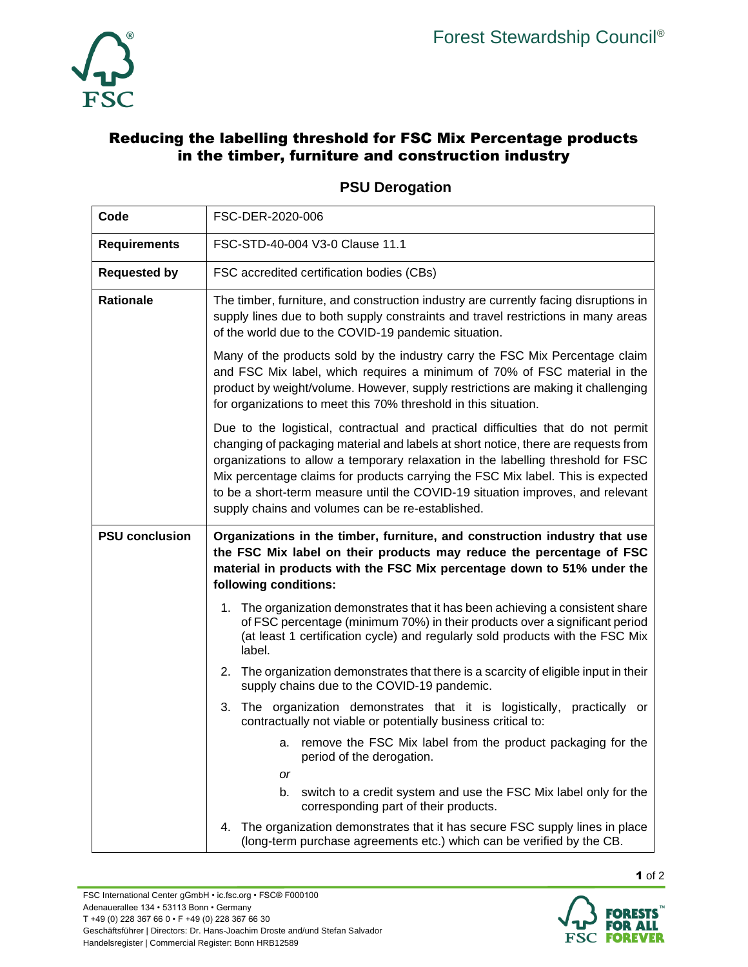

## Reducing the labelling threshold for FSC Mix Percentage products in the timber, furniture and construction industry

| Code                  | FSC-DER-2020-006                                                                                                                                                                                                                                                                                                                                                                                                                                                                    |
|-----------------------|-------------------------------------------------------------------------------------------------------------------------------------------------------------------------------------------------------------------------------------------------------------------------------------------------------------------------------------------------------------------------------------------------------------------------------------------------------------------------------------|
| <b>Requirements</b>   | FSC-STD-40-004 V3-0 Clause 11.1                                                                                                                                                                                                                                                                                                                                                                                                                                                     |
| <b>Requested by</b>   | FSC accredited certification bodies (CBs)                                                                                                                                                                                                                                                                                                                                                                                                                                           |
| <b>Rationale</b>      | The timber, furniture, and construction industry are currently facing disruptions in<br>supply lines due to both supply constraints and travel restrictions in many areas<br>of the world due to the COVID-19 pandemic situation.                                                                                                                                                                                                                                                   |
|                       | Many of the products sold by the industry carry the FSC Mix Percentage claim<br>and FSC Mix label, which requires a minimum of 70% of FSC material in the<br>product by weight/volume. However, supply restrictions are making it challenging<br>for organizations to meet this 70% threshold in this situation.                                                                                                                                                                    |
|                       | Due to the logistical, contractual and practical difficulties that do not permit<br>changing of packaging material and labels at short notice, there are requests from<br>organizations to allow a temporary relaxation in the labelling threshold for FSC<br>Mix percentage claims for products carrying the FSC Mix label. This is expected<br>to be a short-term measure until the COVID-19 situation improves, and relevant<br>supply chains and volumes can be re-established. |
| <b>PSU conclusion</b> | Organizations in the timber, furniture, and construction industry that use                                                                                                                                                                                                                                                                                                                                                                                                          |
|                       | the FSC Mix label on their products may reduce the percentage of FSC<br>material in products with the FSC Mix percentage down to 51% under the<br>following conditions:                                                                                                                                                                                                                                                                                                             |
|                       | 1. The organization demonstrates that it has been achieving a consistent share<br>of FSC percentage (minimum 70%) in their products over a significant period<br>(at least 1 certification cycle) and regularly sold products with the FSC Mix<br>label.                                                                                                                                                                                                                            |
|                       | 2. The organization demonstrates that there is a scarcity of eligible input in their<br>supply chains due to the COVID-19 pandemic.                                                                                                                                                                                                                                                                                                                                                 |
|                       | The organization demonstrates that it is logistically,<br>practically or<br>3.<br>contractually not viable or potentially business critical to:                                                                                                                                                                                                                                                                                                                                     |
|                       | a. remove the FSC Mix label from the product packaging for the<br>period of the derogation.                                                                                                                                                                                                                                                                                                                                                                                         |
|                       | or                                                                                                                                                                                                                                                                                                                                                                                                                                                                                  |
|                       | switch to a credit system and use the FSC Mix label only for the<br>b.<br>corresponding part of their products.                                                                                                                                                                                                                                                                                                                                                                     |

## **PSU Derogation**